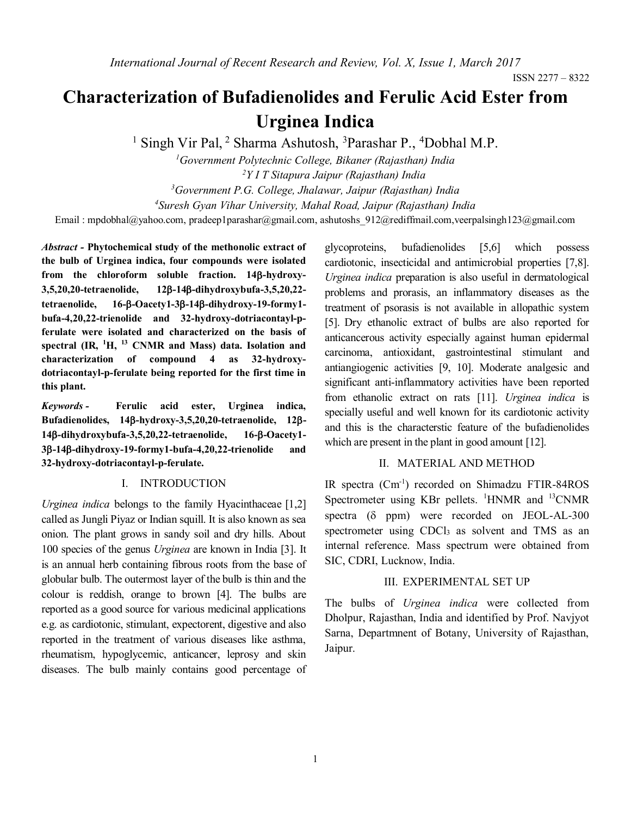# **Characterization of Bufadienolides and Ferulic Acid Ester from Urginea Indica**

<sup>1</sup> Singh Vir Pal, <sup>2</sup> Sharma Ashutosh, <sup>3</sup>Parashar P., <sup>4</sup>Dobhal M.P.

*Government Polytechnic College, Bikaner (Rajasthan) India Y I T Sitapura Jaipur (Rajasthan) India Government P.G. College, Jhalawar, Jaipur (Rajasthan) India Suresh Gyan Vihar University, Mahal Road, Jaipur (Rajasthan) India* Email : [mpdobhal@yahoo.com,](mailto:mpdobhal@yahoo.com) pradeep1parashar@gmail.com, ashutoshs 912@rediffmail.com,[veerpalsingh123@gmail.com](mailto:veerpalsingh123@gmail.com)

*Abstract -* **Phytochemical study of the methonolic extract of the bulb of Urginea indica, four compounds were isolated**  from the chloroform soluble fraction. 14**B-hydroxy-3,5,20,20-tetraenolide, 12-14-dihydroxybufa-3,5,20,22 tetraenolide, 16--Oacety1-3-14-dihydroxy-19-formy1 bufa-4,20,22-trienolide and 32-hydroxy-dotriacontayl-pferulate were isolated and characterized on the basis of spectral (IR, <sup>1</sup>H, <sup>13</sup> CNMR and Mass) data. Isolation and characterization of compound 4 as 32-hydroxydotriacontayl-p-ferulate being reported for the first time in this plant.**

*Keywords -* **Ferulic acid ester, Urginea indica, Bufadienolides, 14-hydroxy-3,5,20,20-tetraenolide, 12- 14-dihydroxybufa-3,5,20,22-tetraenolide, 16--Oacety1- 3-14-dihydroxy-19-formy1-bufa-4,20,22-trienolide and 32-hydroxy-dotriacontayl-p-ferulate.** 

## I. INTRODUCTION

*Urginea indica* belongs to the family Hyacinthaceae [1,2] called as Jungli Piyaz or Indian squill. It is also known as sea onion. The plant grows in sandy soil and dry hills. About 100 species of the genus *Urginea* are known in India [3]. It is an annual herb containing fibrous roots from the base of globular bulb. The outermost layer of the bulb is thin and the colour is reddish, orange to brown [4]. The bulbs are reported as a good source for various medicinal applications e.g. as cardiotonic, stimulant, expectorent, digestive and also reported in the treatment of various diseases like asthma, rheumatism, hypoglycemic, anticancer, leprosy and skin diseases. The bulb mainly contains good percentage of glycoproteins, bufadienolides [5,6] which possess cardiotonic, insecticidal and antimicrobial properties [7,8]. *Urginea indica* preparation is also useful in dermatological problems and prorasis, an inflammatory diseases as the treatment of psorasis is not available in allopathic system [5]. Dry ethanolic extract of bulbs are also reported for anticancerous activity especially against human epidermal carcinoma, antioxidant, gastrointestinal stimulant and antiangiogenic activities [9, 10]. Moderate analgesic and significant anti-inflammatory activities have been reported from ethanolic extract on rats [11]. *Urginea indica* is specially useful and well known for its cardiotonic activity and this is the characterstic feature of the bufadienolides which are present in the plant in good amount [12].

## II. MATERIAL AND METHOD

IR spectra (Cm-1 ) recorded on Shimadzu FTIR-84ROS Spectrometer using KBr pellets. <sup>1</sup>HNMR and <sup>13</sup>CNMR spectra  $(\delta$  ppm) were recorded on JEOL-AL-300 spectrometer using CDCl<sub>3</sub> as solvent and TMS as an internal reference. Mass spectrum were obtained from SIC, CDRI, Lucknow, India.

#### III. EXPERIMENTAL SET UP

The bulbs of *Urginea indica* were collected from Dholpur, Rajasthan, India and identified by Prof. Navjyot Sarna, Departmnent of Botany, University of Rajasthan, Jaipur.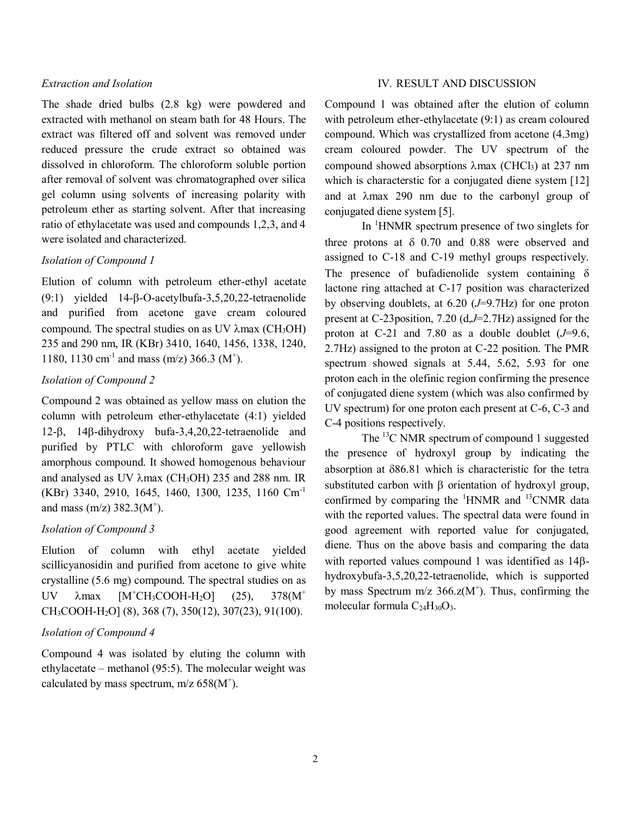## *Extraction and Isolation*

The shade dried bulbs (2.8 kg) were powdered and extracted with methanol on steam bath for 48 Hours. The extract was filtered off and solvent was removed under reduced pressure the crude extract so obtained was dissolved in chloroform. The chloroform soluble portion after removal of solvent was chromatographed over silica gel column using solvents of increasing polarity with petroleum ether as starting solvent. After that increasing ratio of ethylacetate was used and compounds 1,2,3, and 4 were isolated and characterized.

# *Isolation of Compound 1*

Elution of column with petroleum ether-ethyl acetate  $(9:1)$  yielded  $14$ - $\beta$ -O-acetylbufa-3,5,20,22-tetraenolide and purified from acetone gave cream coloured compound. The spectral studies on as UV  $\lambda$ max (CH<sub>3</sub>OH) 235 and 290 nm, IR (KBr) 3410, 1640, 1456, 1338, 1240, 1180, 1130 cm<sup>-1</sup> and mass (m/z) 366.3 (M<sup>+</sup>).

## *Isolation of Compound 2*

Compound 2 was obtained as yellow mass on elution the column with petroleum ether-ethylacetate (4:1) yielded  $12-8$ ,  $148$ -dihydroxy bufa-3,4,20,22-tetraenolide and purified by PTLC with chloroform gave yellowish amorphous compound. It showed homogenous behaviour and analysed as UV  $\lambda$ max (CH<sub>3</sub>OH) 235 and 288 nm. IR (KBr) 3340, 2910, 1645, 1460, 1300, 1235, 1160 Cm-1 and mass  $(m/z)$  382.3( $M^+$ ).

# *Isolation of Compound 3*

Elution of column with ethyl acetate yielded scillicyanosidin and purified from acetone to give white crystalline (5.6 mg) compound. The spectral studies on as UV  $\lambda$ max [M<sup>+</sup>CH<sub>3</sub>COOH-H<sub>2</sub>O] (25), 378(M<sup>+</sup> CH3COOH-H2O] (8), 368 (7), 350(12), 307(23), 91(100).

## *Isolation of Compound 4*

Compound 4 was isolated by eluting the column with ethylacetate – methanol (95:5). The molecular weight was calculated by mass spectrum,  $m/z$  658(M<sup>+</sup>).

## IV. RESULT AND DISCUSSION

Compound 1 was obtained after the elution of column with petroleum ether-ethylacetate (9:1) as cream coloured compound. Which was crystallized from acetone (4.3mg) cream coloured powder. The UV spectrum of the compound showed absorptions  $\lambda$ max (CHCl<sub>3</sub>) at 237 nm which is characterstic for a conjugated diene system [12] and at  $\lambda$ max 290 nm due to the carbonyl group of conjugated diene system [5].

In <sup>1</sup>HNMR spectrum presence of two singlets for three protons at  $\delta$  0.70 and 0.88 were observed and assigned to C-18 and C-19 methyl groups respectively. The presence of bufadienolide system containing  $\delta$ lactone ring attached at C-17 position was characterized by observing doublets, at 6.20 (*J*=9.7Hz) for one proton present at C-23position, 7.20 (d,*J*=2.7Hz) assigned for the proton at C-21 and 7.80 as a double doublet  $(J=9.6,$ 2.7Hz) assigned to the proton at C-22 position. The PMR spectrum showed signals at 5.44, 5.62, 5.93 for one proton each in the olefinic region confirming the presence of conjugated diene system (which was also confirmed by UV spectrum) for one proton each present at C-6, C-3 and C-4 positions respectively.

The <sup>13</sup>C NMR spectrum of compound 1 suggested the presence of hydroxyl group by indicating the absorption at 86.81 which is characteristic for the tetra substituted carbon with  $\beta$  orientation of hydroxyl group, confirmed by comparing the  ${}^{1}$ HNMR and  ${}^{13}$ CNMR data with the reported values. The spectral data were found in good agreement with reported value for conjugated, diene. Thus on the above basis and comparing the data with reported values compound 1 was identified as  $14\beta$ hydroxybufa-3,5,20,22-tetraenolide, which is supported by mass Spectrum  $m/z$  366. $z(M^+)$ . Thus, confirming the molecular formula  $C_{24}H_{30}O_3$ .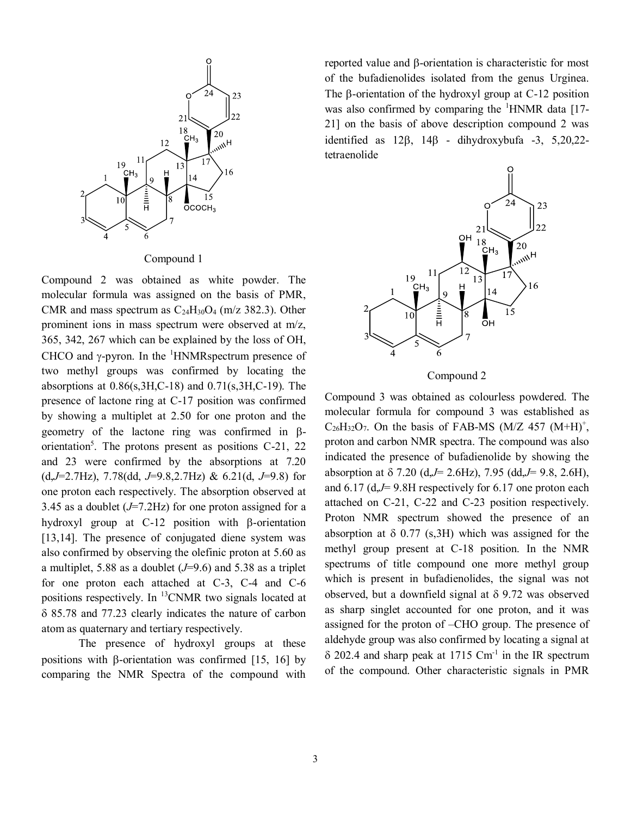

Compound 1

Compound 2 was obtained as white powder. The molecular formula was assigned on the basis of PMR, CMR and mass spectrum as  $C_{24}H_{30}O_4$  (m/z 382.3). Other prominent ions in mass spectrum were observed at m/z, 365, 342, 267 which can be explained by the loss of OH, CHCO and  $\gamma$ -pyron. In the <sup>1</sup>HNMRspectrum presence of two methyl groups was confirmed by locating the absorptions at  $0.86(s, 3H, C-18)$  and  $0.71(s, 3H, C-19)$ . The presence of lactone ring at C-17 position was confirmed by showing a multiplet at 2.50 for one proton and the geometry of the lactone ring was confirmed in  $\beta$ orientation<sup>5</sup>. The protons present as positions C-21, 22 and 23 were confirmed by the absorptions at 7.20 (d,*J*=2.7Hz), 7.78(dd, *J*=9.8,2.7Hz) & 6.21(d, *J*=9.8) for one proton each respectively. The absorption observed at 3.45 as a doublet (*J*=7.2Hz) for one proton assigned for a hydroxyl group at  $C-12$  position with  $\beta$ -orientation [13,14]. The presence of conjugated diene system was also confirmed by observing the olefinic proton at 5.60 as a multiplet, 5.88 as a doublet (*J*=9.6) and 5.38 as a triplet for one proton each attached at C-3, C-4 and C-6 positions respectively. In <sup>13</sup>CNMR two signals located at 85.78 and 77.23 clearly indicates the nature of carbon atom as quaternary and tertiary respectively.

The presence of hydroxyl groups at these positions with  $\beta$ -orientation was confirmed [15, 16] by comparing the NMR Spectra of the compound with

reported value and  $\beta$ -orientation is characteristic for most of the bufadienolides isolated from the genus Urginea. The  $\beta$ -orientation of the hydroxyl group at C-12 position was also confirmed by comparing the  ${}^{1}$ HNMR data [17-21] on the basis of above description compound 2 was identified as  $12\beta$ ,  $14\beta$  - dihydroxybufa -3, 5,20,22tetraenolide



Compound 2

Compound 3 was obtained as colourless powdered. The molecular formula for compound 3 was established as  $C_{26}H_{32}O_7$ . On the basis of FAB-MS (M/Z 457 (M+H)<sup>+</sup>, proton and carbon NMR spectra. The compound was also indicated the presence of bufadienolide by showing the absorption at 7.20 (d,*J*= 2.6Hz), 7.95 (dd,*J*= 9.8, 2.6H), and 6.17 (d,*J*= 9.8H respectively for 6.17 one proton each attached on C-21, C-22 and C-23 position respectively. Proton NMR spectrum showed the presence of an absorption at  $\delta$  0.77 (s, 3H) which was assigned for the methyl group present at C-18 position. In the NMR spectrums of title compound one more methyl group which is present in bufadienolides, the signal was not observed, but a downfield signal at  $\delta$  9.72 was observed as sharp singlet accounted for one proton, and it was assigned for the proton of –CHO group. The presence of aldehyde group was also confirmed by locating a signal at  $\delta$  202.4 and sharp peak at 1715 Cm<sup>-1</sup> in the IR spectrum of the compound. Other characteristic signals in PMR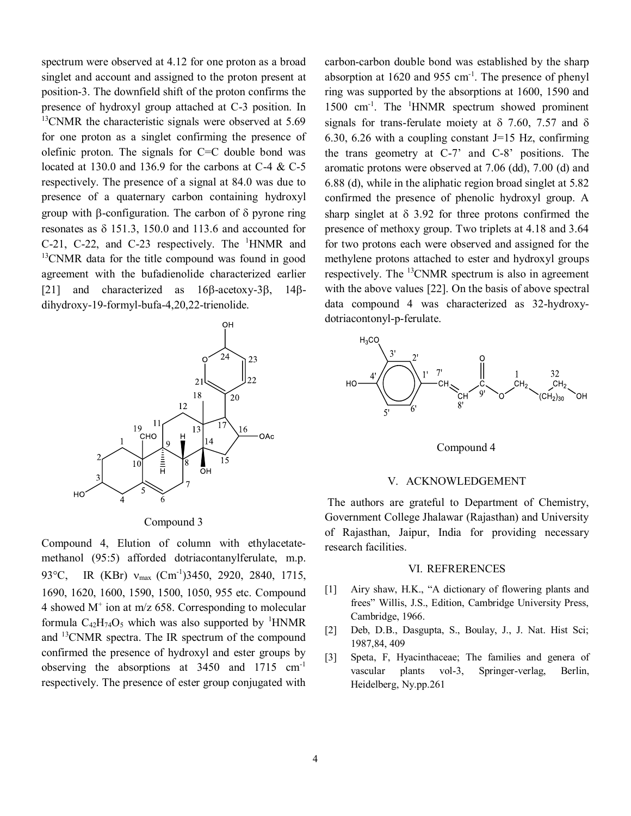spectrum were observed at 4.12 for one proton as a broad singlet and account and assigned to the proton present at position-3. The downfield shift of the proton confirms the presence of hydroxyl group attached at C-3 position. In  $13$ CNMR the characteristic signals were observed at 5.69 for one proton as a singlet confirming the presence of olefinic proton. The signals for  $C=C$  double bond was located at 130.0 and 136.9 for the carbons at C-4 & C-5 respectively. The presence of a signal at 84.0 was due to presence of a quaternary carbon containing hydroxyl group with  $\beta$ -configuration. The carbon of  $\delta$  pyrone ring resonates as  $\delta$  151.3, 150.0 and 113.6 and accounted for C-21, C-22, and C-23 respectively. The <sup>1</sup>HNMR and <sup>13</sup>CNMR data for the title compound was found in good agreement with the bufadienolide characterized earlier [21] and characterized as  $16\beta$ -acetoxy-3 $\beta$ , 14 $\beta$ dihydroxy-19-formyl-bufa-4,20,22-trienolide.



#### Compound 3

Compound 4, Elution of column with ethylacetatemethanol (95:5) afforded dotriacontanylferulate, m.p. 93°C, IR (KBr) v<sub>max</sub> (Cm<sup>-1</sup>)3450, 2920, 2840, 1715, 1690, 1620, 1600, 1590, 1500, 1050, 955 etc. Compound 4 showed  $M^+$  ion at m/z 658. Corresponding to molecular formula  $C_{42}H_{74}O_5$  which was also supported by <sup>1</sup>HNMR and <sup>13</sup>CNMR spectra. The IR spectrum of the compound confirmed the presence of hydroxyl and ester groups by observing the absorptions at 3450 and 1715 cm-1 respectively. The presence of ester group conjugated with

carbon-carbon double bond was established by the sharp absorption at  $1620$  and  $955$  cm<sup>-1</sup>. The presence of phenyl ring was supported by the absorptions at 1600, 1590 and 1500 cm<sup>-1</sup>. The <sup>1</sup>HNMR spectrum showed prominent signals for trans-ferulate moiety at  $\delta$  7.60, 7.57 and  $\delta$ 6.30, 6.26 with a coupling constant  $J=15$  Hz, confirming the trans geometry at C-7' and C-8' positions. The aromatic protons were observed at 7.06 (dd), 7.00 (d) and 6.88 (d), while in the aliphatic region broad singlet at 5.82 confirmed the presence of phenolic hydroxyl group. A sharp singlet at  $\delta$  3.92 for three protons confirmed the presence of methoxy group. Two triplets at 4.18 and 3.64 for two protons each were observed and assigned for the methylene protons attached to ester and hydroxyl groups respectively. The <sup>13</sup>CNMR spectrum is also in agreement with the above values [22]. On the basis of above spectral data compound 4 was characterized as 32-hydroxydotriacontonyl-p-ferulate.





## V. ACKNOWLEDGEMENT

The authors are grateful to Department of Chemistry, Government College Jhalawar (Rajasthan) and University of Rajasthan, Jaipur, India for providing necessary research facilities.

#### VI. REFRERENCES

- [1] Airy shaw, H.K., "A dictionary of flowering plants and frees" Willis, J.S., Edition, Cambridge University Press, Cambridge, 1966.
- [2] Deb, D.B., Dasgupta, S., Boulay, J., J. Nat. Hist Sci; 1987,84, 409
- [3] Speta, F, Hyacinthaceae; The families and genera of vascular plants vol-3, Springer-verlag, Berlin, Heidelberg, Ny.pp.261